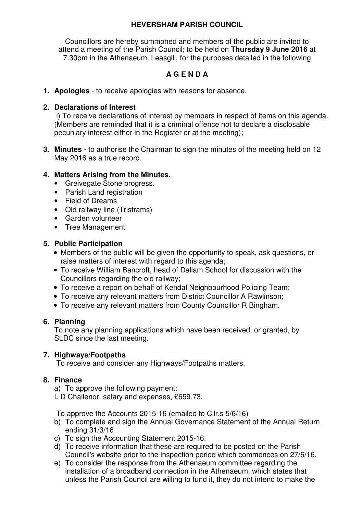# **HEVERSHAM PARISH COUNCIL**

Councillors are hereby summoned and members of the public are invited to attend a meeting of the Parish Council; to be held on **Thursday 9 June 2016** at 7.30pm in the Athenaeum, Leasgill, for the purposes detailed in the following

# **A G E N D A**

**1. Apologies** - to receive apologies with reasons for absence.

#### **2. Declarations of Interest**

i) To receive declarations of interest by members in respect of items on this agenda. (Members are reminded that it is a criminal offence not to declare a disclosable pecuniary interest either in the Register or at the meeting);

**3. Minutes** - to authorise the Chairman to sign the minutes of the meeting held on 12 May 2016 as a true record.

# **4. Matters Arising from the Minutes.**

- Greivegate Stone progress.
- Parish Land registration
- Field of Dreams
- Old railway line (Tristrams)
- Garden volunteer
- Tree Management

#### **5. Public Participation**

- Members of the public will be given the opportunity to speak, ask questions, or raise matters of interest with regard to this agenda;
- To receive William Bancroft, head of Dallam School for discussion with the Councillors regarding the old railway;
- To receive a report on behalf of Kendal Neighbourhood Policing Team;
- To receive any relevant matters from District Councillor A Rawlinson;
- To receive any relevant matters from County Councillor R Bingham.

#### **6. Planning**

To note any planning applications which have been received, or granted, by SLDC since the last meeting.

# **7. Highways/Footpaths**

To receive and consider any Highways/Footpaths matters.

# **8. Finance**

- a) To approve the following payment:
- L D Challenor, salary and expenses, £659.73.

To approve the Accounts 2015-16 (emailed to Cllr.s 5/6/16)

- b) To complete and sign the Annual Governance Statement of the Annual Return ending 31/3/16
- c) To sign the Accounting Statement 2015-16.
- d) To receive information that these are required to be posted on the Parish Council's website prior to the inspection period which commences on 27/6/16.
- e) To consider the response from the Athenaeum committee regarding the installation of a broadband connection in the Athenaeum, which states that unless the Parish Council are willing to fund it, they do not intend to make the